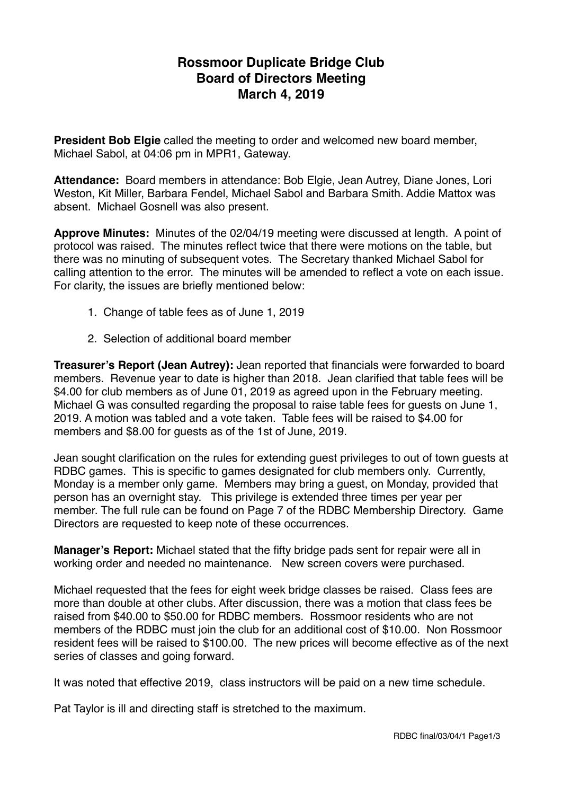## **Rossmoor Duplicate Bridge Club Board of Directors Meeting March 4, 2019**

**President Bob Elgie** called the meeting to order and welcomed new board member, Michael Sabol, at 04:06 pm in MPR1, Gateway.

**Attendance:** Board members in attendance: Bob Elgie, Jean Autrey, Diane Jones, Lori Weston, Kit Miller, Barbara Fendel, Michael Sabol and Barbara Smith. Addie Mattox was absent. Michael Gosnell was also present.

**Approve Minutes:** Minutes of the 02/04/19 meeting were discussed at length. A point of protocol was raised. The minutes reflect twice that there were motions on the table, but there was no minuting of subsequent votes. The Secretary thanked Michael Sabol for calling attention to the error. The minutes will be amended to reflect a vote on each issue. For clarity, the issues are briefly mentioned below:

- 1. Change of table fees as of June 1, 2019
- 2. Selection of additional board member

**Treasurer's Report (Jean Autrey):** Jean reported that financials were forwarded to board members. Revenue year to date is higher than 2018. Jean clarified that table fees will be \$4.00 for club members as of June 01, 2019 as agreed upon in the February meeting. Michael G was consulted regarding the proposal to raise table fees for guests on June 1, 2019. A motion was tabled and a vote taken. Table fees will be raised to \$4.00 for members and \$8.00 for guests as of the 1st of June, 2019.

Jean sought clarification on the rules for extending guest privileges to out of town guests at RDBC games. This is specific to games designated for club members only. Currently, Monday is a member only game. Members may bring a guest, on Monday, provided that person has an overnight stay. This privilege is extended three times per year per member. The full rule can be found on Page 7 of the RDBC Membership Directory. Game Directors are requested to keep note of these occurrences.

**Manager's Report:** Michael stated that the fifty bridge pads sent for repair were all in working order and needed no maintenance. New screen covers were purchased.

Michael requested that the fees for eight week bridge classes be raised. Class fees are more than double at other clubs. After discussion, there was a motion that class fees be raised from \$40.00 to \$50.00 for RDBC members. Rossmoor residents who are not members of the RDBC must join the club for an additional cost of \$10.00. Non Rossmoor resident fees will be raised to \$100.00. The new prices will become effective as of the next series of classes and going forward.

It was noted that effective 2019, class instructors will be paid on a new time schedule.

Pat Taylor is ill and directing staff is stretched to the maximum.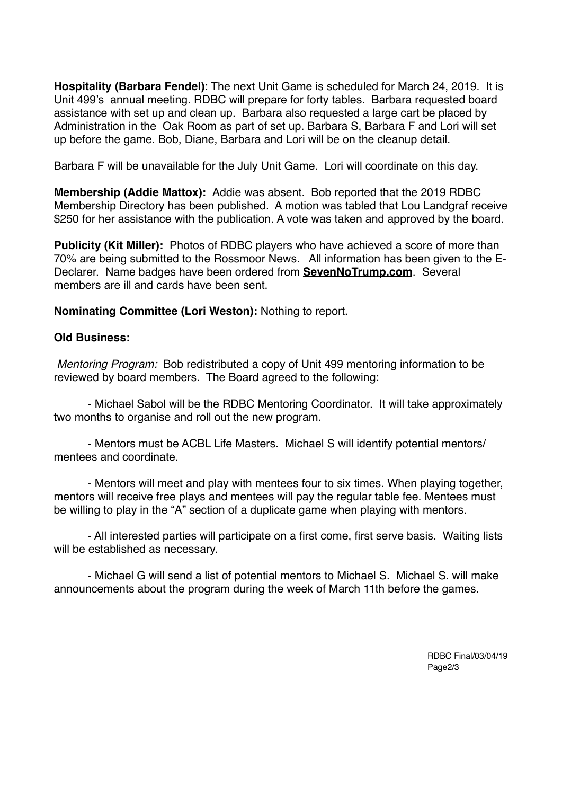**Hospitality (Barbara Fendel)**: The next Unit Game is scheduled for March 24, 2019. It is Unit 499's annual meeting. RDBC will prepare for forty tables. Barbara requested board assistance with set up and clean up. Barbara also requested a large cart be placed by Administration in the Oak Room as part of set up. Barbara S, Barbara F and Lori will set up before the game. Bob, Diane, Barbara and Lori will be on the cleanup detail.

Barbara F will be unavailable for the July Unit Game. Lori will coordinate on this day.

**Membership (Addie Mattox):** Addie was absent. Bob reported that the 2019 RDBC Membership Directory has been published. A motion was tabled that Lou Landgraf receive \$250 for her assistance with the publication. A vote was taken and approved by the board.

**Publicity (Kit Miller):** Photos of RDBC players who have achieved a score of more than 70% are being submitted to the Rossmoor News. All information has been given to the E-Declarer. Name badges have been ordered from **[SevenNoTrump.com](http://SevenNoTrump.com)**. Several members are ill and cards have been sent.

**Nominating Committee (Lori Weston):** Nothing to report.

## **Old Business:**

 *Mentoring Program:* Bob redistributed a copy of Unit 499 mentoring information to be reviewed by board members. The Board agreed to the following:

- Michael Sabol will be the RDBC Mentoring Coordinator. It will take approximately two months to organise and roll out the new program.

- Mentors must be ACBL Life Masters. Michael S will identify potential mentors/ mentees and coordinate.

- Mentors will meet and play with mentees four to six times. When playing together, mentors will receive free plays and mentees will pay the regular table fee. Mentees must be willing to play in the "A" section of a duplicate game when playing with mentors.

- All interested parties will participate on a first come, first serve basis. Waiting lists will be established as necessary.

- Michael G will send a list of potential mentors to Michael S. Michael S. will make announcements about the program during the week of March 11th before the games.

> RDBC Final/03/04/19 Page<sub>2/3</sub>